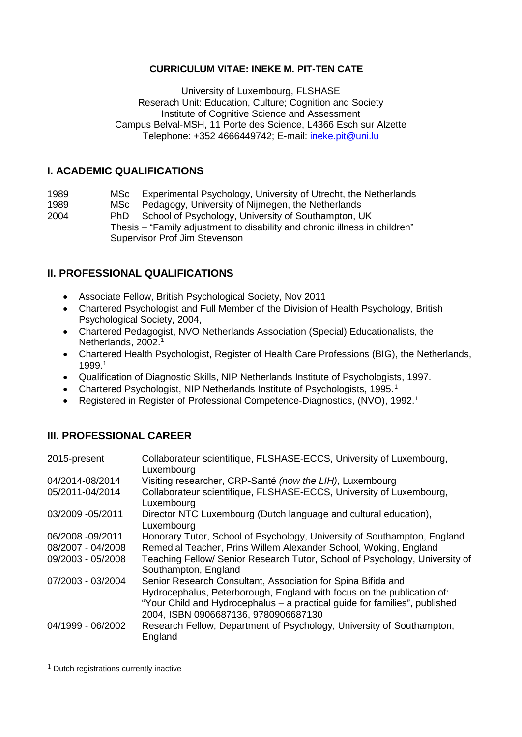## **CURRICULUM VITAE: INEKE M. PIT-TEN CATE**

University of Luxembourg, FLSHASE Reserach Unit: Education, Culture; Cognition and Society Institute of Cognitive Science and Assessment Campus Belval-MSH, 11 Porte des Science, L4366 Esch sur Alzette Telephone: +352 4666449742; E-mail: [ineke.pit@uni.lu](mailto:ineke.pit@uni.lu)

## **I. ACADEMIC QUALIFICATIONS**

| 1989 |  | MSc Experimental Psychology, University of Utrecht, the Netherlands |
|------|--|---------------------------------------------------------------------|
|------|--|---------------------------------------------------------------------|

1989 MSc Pedagogy, University of Nijmegen, the Netherlands<br>2004 PhD School of Psychology, University of Southampton, U School of Psychology, University of Southampton, UK Thesis – "Family adjustment to disability and chronic illness in children" Supervisor Prof Jim Stevenson

# **II. PROFESSIONAL QUALIFICATIONS**

- Associate Fellow, British Psychological Society, Nov 2011
- Chartered Psychologist and Full Member of the Division of Health Psychology, British Psychological Society, 2004,
- Chartered Pedagogist, NVO Netherlands Association (Special) Educationalists, the Netherlands, 2002.<sup>1</sup>
- Chartered Health Psychologist, Register of Health Care Professions (BIG), the Netherlands, 1999.1
- Qualification of Diagnostic Skills, NIP Netherlands Institute of Psychologists, 1997.
- Chartered Psychologist, NIP Netherlands Institute of Psychologists, [1](#page-0-0)995.<sup>1</sup>
- Registered in Register of Professional Competence-Diagnostics, (NVO), 1992.<sup>1</sup>

# **III. PROFESSIONAL CAREER**

| 2015-present      | Collaborateur scientifique, FLSHASE-ECCS, University of Luxembourg,<br>Luxembourg                                                                                                                                                                            |
|-------------------|--------------------------------------------------------------------------------------------------------------------------------------------------------------------------------------------------------------------------------------------------------------|
| 04/2014-08/2014   | Visiting researcher, CRP-Santé (now the LIH), Luxembourg                                                                                                                                                                                                     |
| 05/2011-04/2014   | Collaborateur scientifique, FLSHASE-ECCS, University of Luxembourg,<br>Luxembourg                                                                                                                                                                            |
| 03/2009 - 05/2011 | Director NTC Luxembourg (Dutch language and cultural education),<br>Luxembourg                                                                                                                                                                               |
| 06/2008 -09/2011  | Honorary Tutor, School of Psychology, University of Southampton, England                                                                                                                                                                                     |
| 08/2007 - 04/2008 | Remedial Teacher, Prins Willem Alexander School, Woking, England                                                                                                                                                                                             |
| 09/2003 - 05/2008 | Teaching Fellow/ Senior Research Tutor, School of Psychology, University of<br>Southampton, England                                                                                                                                                          |
| 07/2003 - 03/2004 | Senior Research Consultant, Association for Spina Bifida and<br>Hydrocephalus, Peterborough, England with focus on the publication of:<br>"Your Child and Hydrocephalus - a practical guide for families", published<br>2004, ISBN 0906687136, 9780906687130 |
| 04/1999 - 06/2002 | Research Fellow, Department of Psychology, University of Southampton,<br>England                                                                                                                                                                             |

<span id="page-0-0"></span> $1$  Dutch registrations currently inactive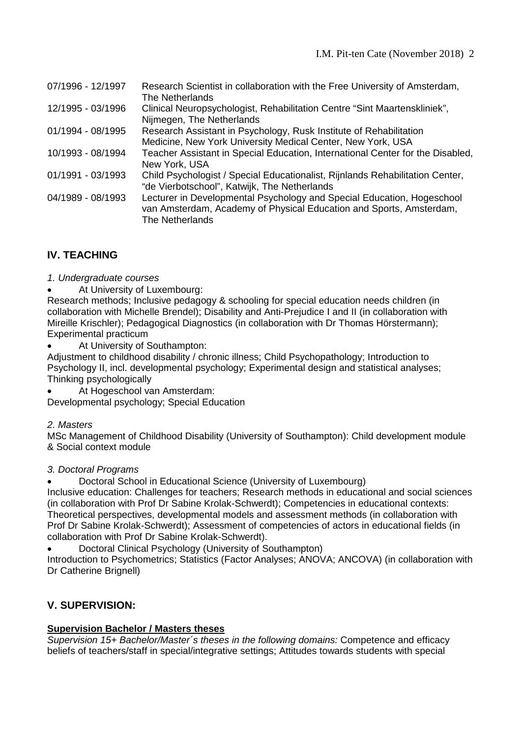| 07/1996 - 12/1997 | Research Scientist in collaboration with the Free University of Amsterdam,<br>The Netherlands                                                                    |
|-------------------|------------------------------------------------------------------------------------------------------------------------------------------------------------------|
| 12/1995 - 03/1996 | Clinical Neuropsychologist, Rehabilitation Centre "Sint Maartenskliniek",<br>Nijmegen, The Netherlands                                                           |
| 01/1994 - 08/1995 | Research Assistant in Psychology, Rusk Institute of Rehabilitation<br>Medicine, New York University Medical Center, New York, USA                                |
| 10/1993 - 08/1994 | Teacher Assistant in Special Education, International Center for the Disabled,<br>New York, USA                                                                  |
| 01/1991 - 03/1993 | Child Psychologist / Special Educationalist, Rijnlands Rehabilitation Center,<br>"de Vierbotschool", Katwijk, The Netherlands                                    |
| 04/1989 - 08/1993 | Lecturer in Developmental Psychology and Special Education, Hogeschool<br>van Amsterdam, Academy of Physical Education and Sports, Amsterdam,<br>The Netherlands |

# **IV. TEACHING**

*1. Undergraduate courses*

At University of Luxembourg:

Research methods; Inclusive pedagogy & schooling for special education needs children (in collaboration with Michelle Brendel); Disability and Anti-Prejudice I and II (in collaboration with Mireille Krischler); Pedagogical Diagnostics (in collaboration with Dr Thomas Hörstermann); Experimental practicum

At University of Southampton:

Adjustment to childhood disability / chronic illness; Child Psychopathology; Introduction to Psychology II, incl. developmental psychology; Experimental design and statistical analyses; Thinking psychologically

At Hogeschool van Amsterdam:

Developmental psychology; Special Education

#### *2. Masters*

MSc Management of Childhood Disability (University of Southampton): Child development module & Social context module

## *3. Doctoral Programs*

• Doctoral School in Educational Science (University of Luxembourg)

Inclusive education: Challenges for teachers; Research methods in educational and social sciences (in collaboration with Prof Dr Sabine Krolak-Schwerdt); Competencies in educational contexts: Theoretical perspectives, developmental models and assessment methods (in collaboration with Prof Dr Sabine Krolak-Schwerdt); Assessment of competencies of actors in educational fields (in collaboration with Prof Dr Sabine Krolak-Schwerdt).

• Doctoral Clinical Psychology (University of Southampton)

Introduction to Psychometrics; Statistics (Factor Analyses; ANOVA; ANCOVA) (in collaboration with Dr Catherine Brignell)

# **V. SUPERVISION:**

## **Supervision Bachelor / Masters theses**

*Supervision 15+ Bachelor/Master´s theses in the following domains:* Competence and efficacy beliefs of teachers/staff in special/integrative settings; Attitudes towards students with special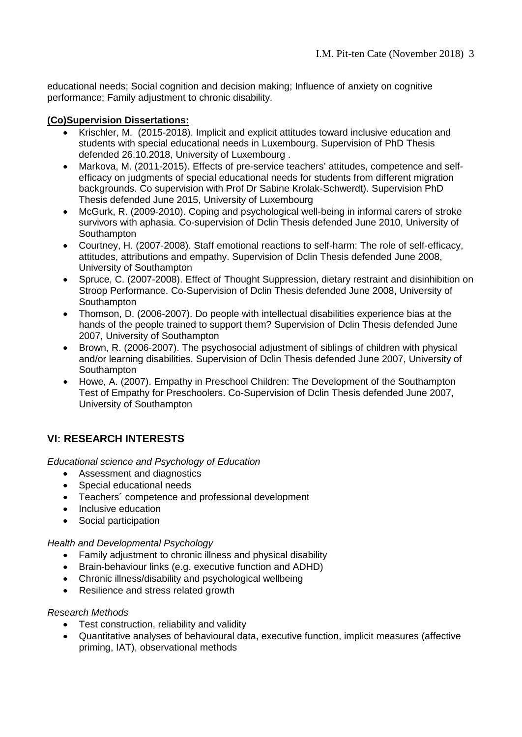educational needs; Social cognition and decision making; Influence of anxiety on cognitive performance; Family adjustment to chronic disability.

## **(Co)Supervision Dissertations:**

- Krischler, M. (2015-2018). Implicit and explicit attitudes toward inclusive education and students with special educational needs in Luxembourg. Supervision of PhD Thesis defended 26.10.2018, University of Luxembourg .
- Markova, M. (2011-2015). Effects of pre-service teachers' attitudes, competence and selfefficacy on judgments of special educational needs for students from different migration backgrounds. Co supervision with Prof Dr Sabine Krolak-Schwerdt). Supervision PhD Thesis defended June 2015, University of Luxembourg
- McGurk, R. (2009-2010). Coping and psychological well-being in informal carers of stroke survivors with aphasia. Co-supervision of Dclin Thesis defended June 2010, University of **Southampton**
- Courtney, H. (2007-2008). Staff emotional reactions to self-harm: The role of self-efficacy, attitudes, attributions and empathy. Supervision of Dclin Thesis defended June 2008, University of Southampton
- Spruce, C. (2007-2008). Effect of Thought Suppression, dietary restraint and disinhibition on Stroop Performance. Co-Supervision of Dclin Thesis defended June 2008, University of Southampton
- Thomson, D. (2006-2007). Do people with intellectual disabilities experience bias at the hands of the people trained to support them? Supervision of Dclin Thesis defended June 2007, University of Southampton
- Brown, R. (2006-2007). The psychosocial adjustment of siblings of children with physical and/or learning disabilities. Supervision of Dclin Thesis defended June 2007, University of Southampton
- Howe, A. (2007). Empathy in Preschool Children: The Development of the Southampton Test of Empathy for Preschoolers. Co-Supervision of Dclin Thesis defended June 2007, University of Southampton

# **VI: RESEARCH INTERESTS**

*Educational science and Psychology of Education*

- Assessment and diagnostics
- Special educational needs
- Teachers´ competence and professional development
- Inclusive education
- Social participation

#### *Health and Developmental Psychology*

- Family adjustment to chronic illness and physical disability
- Brain-behaviour links (e.g. executive function and ADHD)
- Chronic illness/disability and psychological wellbeing
- Resilience and stress related growth

#### *Research Methods*

- Test construction, reliability and validity
- Quantitative analyses of behavioural data, executive function, implicit measures (affective priming, IAT), observational methods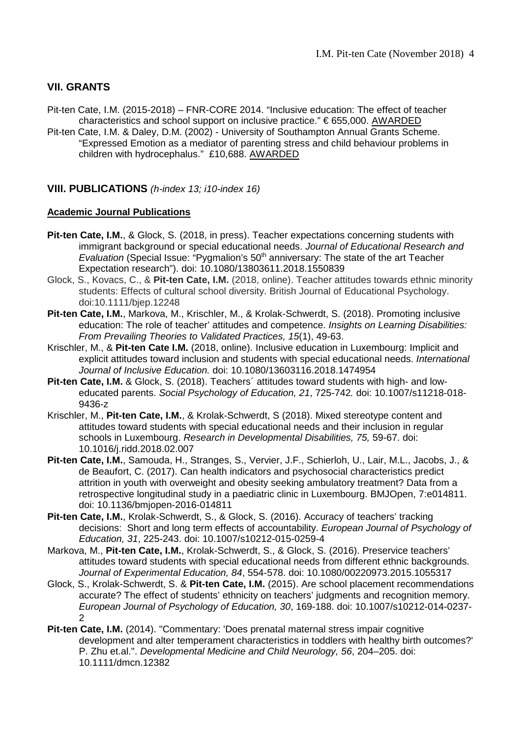# **VII. GRANTS**

- Pit-ten Cate, I.M. (2015-2018) FNR-CORE 2014. "Inclusive education: The effect of teacher characteristics and school support on inclusive practice."  $\epsilon$  655,000. AWARDED
- Pit-ten Cate, I.M. & Daley, D.M. (2002) University of Southampton Annual Grants Scheme. "Expressed Emotion as a mediator of parenting stress and child behaviour problems in children with hydrocephalus." £10,688. AWARDED

#### **VIII. PUBLICATIONS** *(h-index 13; i10-index 16)*

#### **Academic Journal Publications**

- **Pit-ten Cate, I.M.**, & Glock, S. (2018, in press). Teacher expectations concerning students with immigrant background or special educational needs. *Journal of Educational Research and Evaluation* (Special Issue: "Pygmalion's 50<sup>th</sup> anniversary: The state of the art Teacher Expectation research"). doi: 10.1080/13803611.2018.1550839
- Glock, S., Kovacs, C., & **Pit-ten Cate, I.M.** (2018, online). Teacher attitudes towards ethnic minority students: Effects of cultural school diversity. British Journal of Educational Psychology. doi:10.1111/bjep.12248
- **Pit-ten Cate, I.M.**, Markova, M., Krischler, M., & Krolak-Schwerdt, S. (2018). Promoting inclusive education: The role of teacher' attitudes and competence. *Insights on Learning Disabilities: From Prevailing Theories to Validated Practices, 15*(1), 49-63.
- Krischler, M., & **Pit-ten Cate I.M.** (2018, online). Inclusive education in Luxembourg: Implicit and explicit attitudes toward inclusion and students with special educational needs. *International Journal of Inclusive Education.* doi: 10.1080/13603116.2018.1474954
- **Pit-ten Cate, I.M.** & Glock, S. (2018). Teachers´ attitudes toward students with high- and loweducated parents. *Social Psychology of Education, 21*, 725-742*.* doi: 10.1007/s11218-018- 9436-z
- Krischler, M., **Pit-ten Cate, I.M.**, & Krolak-Schwerdt, S (2018). Mixed stereotype content and attitudes toward students with special educational needs and their inclusion in regular schools in Luxembourg. *Research in Developmental Disabilities, 75,* 59-67. doi: 10.1016/j.ridd.2018.02.007
- **Pit-ten Cate, I.M.**, Samouda, H., Stranges, S., Vervier, J.F., Schierloh, U., Lair, M.L., Jacobs, J., & de Beaufort, C. (2017). Can health indicators and psychosocial characteristics predict attrition in youth with overweight and obesity seeking ambulatory treatment? Data from a retrospective longitudinal study in a paediatric clinic in Luxembourg. BMJOpen, 7:e014811. doi: 10.1136/bmjopen-2016-014811
- **Pit-ten Cate, I.M.**, Krolak-Schwerdt, S., & Glock, S. (2016). Accuracy of teachers' tracking decisions: Short and long term effects of accountability. *European Journal of Psychology of Education, 31*, 225-243. doi: 10.1007/s10212-015-0259-4
- Markova, M., **Pit-ten Cate, I.M.**, Krolak-Schwerdt, S., & Glock, S. (2016). Preservice teachers' attitudes toward students with special educational needs from different ethnic backgrounds. *Journal of Experimental Education, 84*, 554-578. doi: 10.1080/00220973.2015.1055317
- Glock, S., Krolak-Schwerdt, S. & **Pit-ten Cate, I.M.** (2015). Are school placement recommendations accurate? The effect of students' ethnicity on teachers' judgments and recognition memory. *European Journal of Psychology of Education, 30*, 169-188. doi: 10.1007/s10212-014-0237- 2
- **Pit-ten Cate, I.M.** (2014). "Commentary: 'Does prenatal maternal stress impair cognitive development and alter temperament characteristics in toddlers with healthy birth outcomes?' P. Zhu et.al.". *Developmental Medicine and Child Neurology, 56*, 204–205. doi: 10.1111/dmcn.12382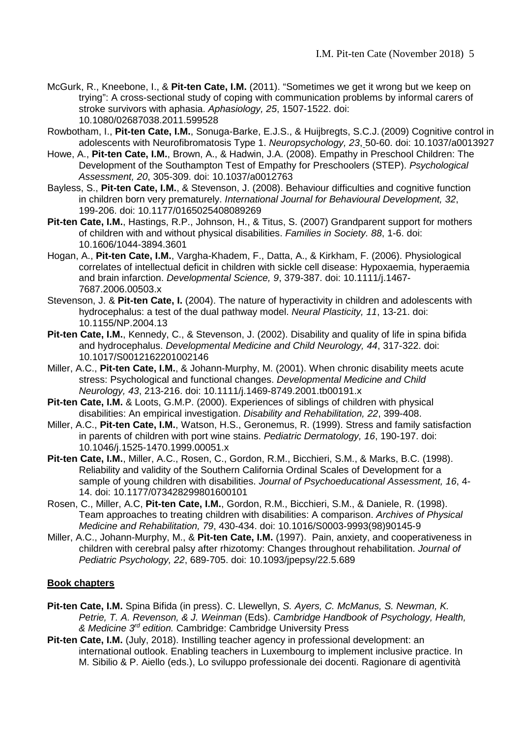- McGurk, R., Kneebone, I., & **Pit-ten Cate, I.M.** (2011). "Sometimes we get it wrong but we keep on trying": A cross-sectional study of coping with communication problems by informal carers of stroke survivors with aphasia. *Aphasiology, 25*, 1507-1522. doi: 10.1080/02687038.2011.599528
- Rowbotham, I., **Pit-ten Cate, I.M.**, Sonuga-Barke, E.J.S., & Huijbregts, S.C.J. (2009) Cognitive control in adolescents with Neurofibromatosis Type 1. *Neuropsychology, 23*, 50-60. doi: 10.1037/a0013927
- Howe, A., **Pit-ten Cate, I.M.**, Brown, A., & Hadwin, J.A. (2008). Empathy in Preschool Children: The Development of the Southampton Test of Empathy for Preschoolers (STEP). *Psychological Assessment, 20*, 305-309. doi: 10.1037/a0012763
- Bayless, S., **Pit-ten Cate, I.M.**, & Stevenson, J. (2008). Behaviour difficulties and cognitive function in children born very prematurely. *International Journal for Behavioural Development, 32*, 199-206. doi: 10.1177/0165025408089269
- **Pit-ten Cate, I.M.**, Hastings, R.P., Johnson, H., & Titus, S. (2007) Grandparent support for mothers of children with and without physical disabilities. *Families in Society. 88*, 1-6. doi: 10.1606/1044-3894.3601
- Hogan, A., **Pit-ten Cate, I.M.**, Vargha-Khadem, F., Datta, A., & Kirkham, F. (2006). Physiological correlates of intellectual deficit in children with sickle cell disease: Hypoxaemia, hyperaemia and brain infarction. *Developmental Science, 9*, 379-387. doi: 10.1111/j.1467- 7687.2006.00503.x
- Stevenson, J. & **Pit-ten Cate, I.** (2004). The nature of hyperactivity in children and adolescents with hydrocephalus: a test of the dual pathway model. *Neural Plasticity, 11*, 13-21. doi: 10.1155/NP.2004.13
- Pit-ten Cate, I.M., Kennedy, C., & Stevenson, J. (2002). Disability and quality of life in spina bifida and hydrocephalus. *Developmental Medicine and Child Neurology, 44*, 317-322. doi: 10.1017/S0012162201002146
- Miller, A.C., **Pit-ten Cate, I.M.**, & Johann-Murphy, M. (2001). When chronic disability meets acute stress: Psychological and functional changes. *Developmental Medicine and Child Neurology, 43*, 213-216. doi: 10.1111/j.1469-8749.2001.tb00191.x
- **Pit-ten Cate, I.M.** & Loots, G.M.P. (2000). Experiences of siblings of children with physical disabilities: An empirical investigation. *Disability and Rehabilitation, 22*, 399-408.
- Miller, A.C., **Pit-ten Cate, I.M.**, Watson, H.S., Geronemus, R. (1999). Stress and family satisfaction in parents of children with port wine stains. *Pediatric Dermatology, 16*, 190-197. doi: 10.1046/j.1525-1470.1999.00051.x
- **Pit-ten Cate, I.M.**, Miller, A.C., Rosen, C., Gordon, R.M., Bicchieri, S.M., & Marks, B.C. (1998). Reliability and validity of the Southern California Ordinal Scales of Development for a sample of young children with disabilities. *Journal of Psychoeducational Assessment, 16*, 4- 14. doi: 10.1177/073428299801600101
- Rosen, C., Miller, A.C, **Pit-ten Cate, I.M.**, Gordon, R.M., Bicchieri, S.M., & Daniele, R. (1998). Team approaches to treating children with disabilities: A comparison. *Archives of Physical Medicine and Rehabilitation, 79*, 430-434. doi: 10.1016/S0003-9993(98)90145-9
- Miller, A.C., Johann-Murphy, M., & **Pit-ten Cate, I.M.** (1997). Pain, anxiety, and cooperativeness in children with cerebral palsy after rhizotomy: Changes throughout rehabilitation. *Journal of Pediatric Psychology, 22*, 689-705. doi: 10.1093/jpepsy/22.5.689

#### **Book chapters**

- **Pit-ten Cate, I.M.** Spina Bifida (in press). C. Llewellyn, *S. Ayers, C. McManus, S. Newman, K. Petrie, T. A. Revenson, & J. Weinman* (Eds). *Cambridge Handbook of Psychology, Health, & Medicine 3rd edition.* Cambridge: Cambridge University Press
- **Pit-ten Cate, I.M.** (July, 2018). Instilling teacher agency in professional development: an international outlook. Enabling teachers in Luxembourg to implement inclusive practice. In M. Sibilio & P. Aiello (eds.), Lo sviluppo professionale dei docenti. Ragionare di agentività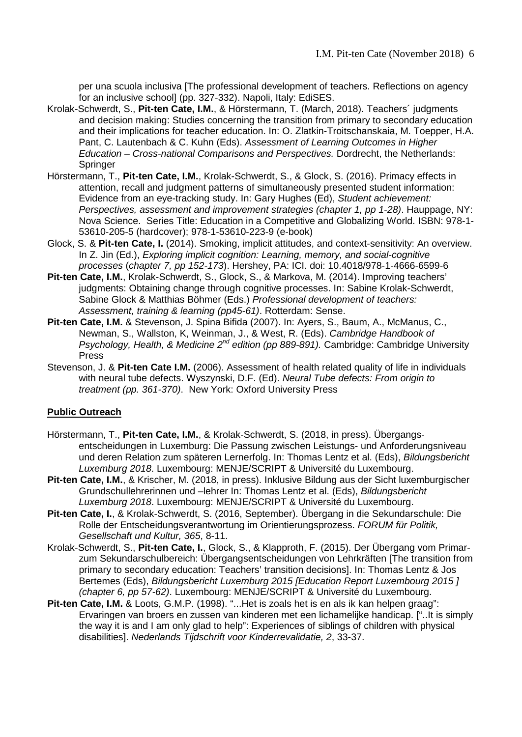per una scuola inclusiva [The professional development of teachers. Reflections on agency for an inclusive school] (pp. 327-332). Napoli, Italy: EdiSES.

- Krolak-Schwerdt, S., **Pit-ten Cate, I.M.**, & Hörstermann, T. (March, 2018). Teachers´ judgments and decision making: Studies concerning the transition from primary to secondary education and their implications for teacher education. In: O. Zlatkin-Troitschanskaia, M. Toepper, H.A. Pant, C. Lautenbach & C. Kuhn (Eds). *Assessment of Learning Outcomes in Higher Education – Cross-national Comparisons and Perspectives.* Dordrecht, the Netherlands: **Springer**
- Hörstermann, T., **Pit-ten Cate, I.M.**, Krolak-Schwerdt, S., & Glock, S. (2016). Primacy effects in attention, recall and judgment patterns of simultaneously presented student information: Evidence from an eye-tracking study. In: Gary Hughes (Ed), *Student achievement: Perspectives, assessment and improvement strategies (chapter 1, pp 1-28)*. Hauppage, NY: Nova Science. Series Title: Education in a Competitive and Globalizing World. ISBN: 978-1- 53610-205-5 (hardcover); 978-1-53610-223-9 (e-book)
- Glock, S. & **Pit-ten Cate, I.** (2014). Smoking, implicit attitudes, and context-sensitivity: An overview. In Z. Jin (Ed.), *Exploring implicit cognition: Learning, memory, and social-cognitive processes* (*chapter 7, pp 152-173*). Hershey, PA: ICI. doi: 10.4018/978-1-4666-6599-6
- **Pit-ten Cate, I.M.**, Krolak-Schwerdt, S., Glock, S., & Markova, M. (2014). Improving teachers' judgments: Obtaining change through cognitive processes. In: Sabine Krolak-Schwerdt, Sabine Glock & Matthias Böhmer (Eds.) *Professional development of teachers: Assessment, training & learning (pp45-61)*. Rotterdam: Sense.
- **Pit-ten Cate, I.M.** & Stevenson, J. Spina Bifida (2007). In: Ayers, S., Baum, A., McManus, C., Newman, S., Wallston, K, Weinman, J., & West, R. (Eds). *Cambridge Handbook of Psychology, Health, & Medicine 2nd edition (pp 889-891).* Cambridge: Cambridge University Press
- Stevenson, J. & **Pit-ten Cate I.M.** (2006). Assessment of health related quality of life in individuals with neural tube defects. Wyszynski, D.F. (Ed). *Neural Tube defects: From origin to treatment (pp. 361-370)*. New York: Oxford University Press

#### **Public Outreach**

- Hörstermann, T., **Pit-ten Cate, I.M.**, & Krolak-Schwerdt, S. (2018, in press). Übergangsentscheidungen in Luxemburg: Die Passung zwischen Leistungs- und Anforderungsniveau und deren Relation zum späteren Lernerfolg. In: Thomas Lentz et al. (Eds), *Bildungsbericht Luxemburg 2018*. Luxembourg: MENJE/SCRIPT & Université du Luxembourg.
- **Pit-ten Cate, I.M.**, & Krischer, M. (2018, in press). Inklusive Bildung aus der Sicht luxemburgischer Grundschullehrerinnen und –lehrer In: Thomas Lentz et al. (Eds), *Bildungsbericht Luxemburg 2018*. Luxembourg: MENJE/SCRIPT & Université du Luxembourg.
- **Pit-ten Cate, I.**, & Krolak-Schwerdt, S. (2016, September). Übergang in die Sekundarschule: Die Rolle der Entscheidungsverantwortung im Orientierungsprozess. *FORUM für Politik, Gesellschaft und Kultur, 365*, 8-11.
- Krolak-Schwerdt, S., **Pit-ten Cate, I.**, Glock, S., & Klapproth, F. (2015). Der Übergang vom Primarzum Sekundarschulbereich: Übergangsentscheidungen von Lehrkräften [The transition from primary to secondary education: Teachers' transition decisions]. In: Thomas Lentz & Jos Bertemes (Eds), *Bildungsbericht Luxemburg 2015 [Education Report Luxembourg 2015 ] (chapter 6, pp 57-62)*. Luxembourg: MENJE/SCRIPT & Université du Luxembourg.
- **Pit-ten Cate, I.M.** & Loots, G.M.P. (1998). "...Het is zoals het is en als ik kan helpen graag": Ervaringen van broers en zussen van kinderen met een lichamelijke handicap. ["..It is simply the way it is and I am only glad to help": Experiences of siblings of children with physical disabilities]. *Nederlands Tijdschrift voor Kinderrevalidatie, 2*, 33-37.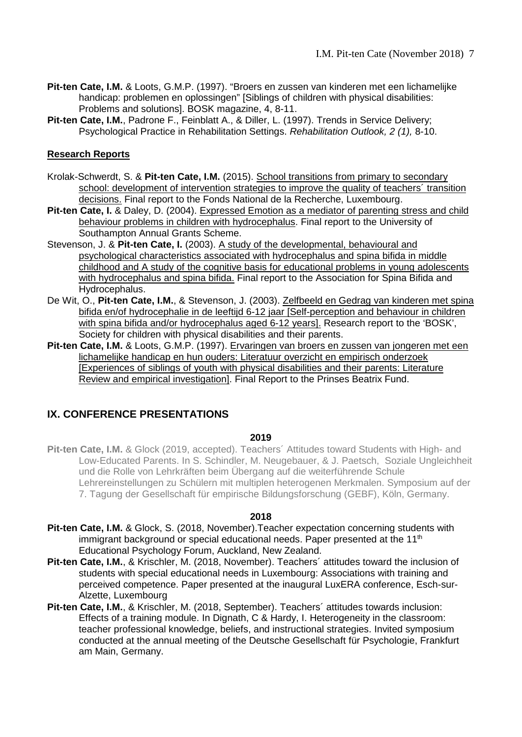- **Pit-ten Cate, I.M.** & Loots, G.M.P. (1997). "Broers en zussen van kinderen met een lichamelijke handicap: problemen en oplossingen" [Siblings of children with physical disabilities: Problems and solutions]. BOSK magazine, 4, 8-11.
- Pit-ten Cate, I.M., Padrone F., Feinblatt A., & Diller, L. (1997). Trends in Service Delivery; Psychological Practice in Rehabilitation Settings. *Rehabilitation Outlook, 2 (1),* 8-10.

#### **Research Reports**

- Krolak-Schwerdt, S. & **Pit-ten Cate, I.M.** (2015). School transitions from primary to secondary school: development of intervention strategies to improve the quality of teachers´ transition decisions. Final report to the Fonds National de la Recherche, Luxembourg.
- **Pit-ten Cate, I.** & Daley, D. (2004). Expressed Emotion as a mediator of parenting stress and child behaviour problems in children with hydrocephalus. Final report to the University of Southampton Annual Grants Scheme.
- Stevenson, J. & **Pit-ten Cate, I.** (2003). A study of the developmental, behavioural and psychological characteristics associated with hydrocephalus and spina bifida in middle childhood and A study of the cognitive basis for educational problems in young adolescents with hydrocephalus and spina bifida. Final report to the Association for Spina Bifida and Hydrocephalus.
- De Wit, O., **Pit-ten Cate, I.M.**, & Stevenson, J. (2003). Zelfbeeld en Gedrag van kinderen met spina bifida en/of hydrocephalie in de leeftijd 6-12 jaar [Self-perception and behaviour in children with spina bifida and/or hydrocephalus aged 6-12 years]. Research report to the 'BOSK', Society for children with physical disabilities and their parents.
- **Pit-ten Cate, I.M.** & Loots, G.M.P. (1997). Ervaringen van broers en zussen van jongeren met een lichamelijke handicap en hun ouders: Literatuur overzicht en empirisch onderzoek [Experiences of siblings of youth with physical disabilities and their parents: Literature Review and empirical investigation]. Final Report to the Prinses Beatrix Fund.

## **IX. CONFERENCE PRESENTATIONS**

#### **2019**

**Pit-ten Cate, I.M.** & Glock (2019, accepted). Teachers´ Attitudes toward Students with High- and Low-Educated Parents. In S. Schindler, M. Neugebauer, & J. Paetsch, Soziale Ungleichheit und die Rolle von Lehrkräften beim Übergang auf die weiterführende Schule Lehrereinstellungen zu Schülern mit multiplen heterogenen Merkmalen. Symposium auf der 7. Tagung der Gesellschaft für empirische Bildungsforschung (GEBF), Köln, Germany.

#### **2018**

- **Pit-ten Cate, I.M.** & Glock, S. (2018, November).Teacher expectation concerning students with immigrant background or special educational needs. Paper presented at the 11<sup>th</sup> Educational Psychology Forum, Auckland, New Zealand.
- **Pit-ten Cate, I.M.**, & Krischler, M. (2018, November). Teachers´ attitudes toward the inclusion of students with special educational needs in Luxembourg: Associations with training and perceived competence. Paper presented at the inaugural LuxERA conference, Esch-sur-Alzette, Luxembourg
- **Pit-ten Cate, I.M.**, & Krischler, M. (2018, September). Teachers´ attitudes towards inclusion: Effects of a training module. In Dignath, C & Hardy, I. Heterogeneity in the classroom: teacher professional knowledge, beliefs, and instructional strategies. Invited symposium conducted at the annual meeting of the Deutsche Gesellschaft für Psychologie, Frankfurt am Main, Germany.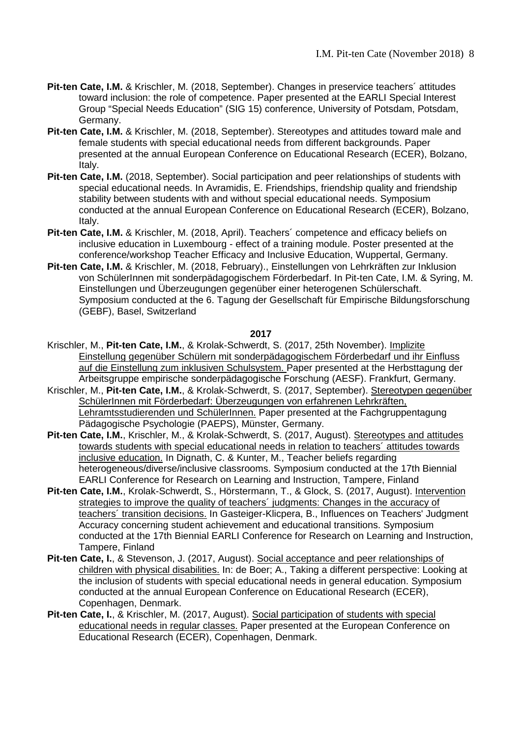- **Pit-ten Cate, I.M.** & Krischler, M. (2018, September). Changes in preservice teachers´ attitudes toward inclusion: the role of competence. Paper presented at the EARLI Special Interest Group "Special Needs Education" (SIG 15) conference, University of Potsdam, Potsdam, Germany.
- **Pit-ten Cate, I.M.** & Krischler, M. (2018, September). Stereotypes and attitudes toward male and female students with special educational needs from different backgrounds. Paper presented at the annual European Conference on Educational Research (ECER), Bolzano, Italy.
- **Pit-ten Cate, I.M.** (2018, September). Social participation and peer relationships of students with special educational needs. In Avramidis, E. Friendships, friendship quality and friendship stability between students with and without special educational needs. Symposium conducted at the annual European Conference on Educational Research (ECER), Bolzano, Italy.
- **Pit-ten Cate, I.M.** & Krischler, M. (2018, April). Teachers´ competence and efficacy beliefs on inclusive education in Luxembourg - effect of a training module. Poster presented at the conference/workshop Teacher Efficacy and Inclusive Education, Wuppertal, Germany.
- **Pit-ten Cate, I.M.** & Krischler, M. (2018, February)., Einstellungen von Lehrkräften zur Inklusion von SchülerInnen mit sonderpädagogischem Förderbedarf. In Pit-ten Cate, I.M. & Syring, M. Einstellungen und Überzeugungen gegenüber einer heterogenen Schülerschaft. Symposium conducted at the 6. Tagung der Gesellschaft für Empirische Bildungsforschung (GEBF), Basel, Switzerland

#### **2017**

- Krischler, M., **Pit-ten Cate, I.M.**, & Krolak-Schwerdt, S. (2017, 25th November). Implizite Einstellung gegenüber Schülern mit sonderpädagogischem Förderbedarf und ihr Einfluss auf die Einstellung zum inklusiven Schulsystem. Paper presented at the Herbsttagung der Arbeitsgruppe empirische sonderpädagogische Forschung (AESF). Frankfurt, Germany.
- Krischler, M., **Pit-ten Cate, I.M.**, & Krolak-Schwerdt, S. (2017, September). Stereotypen gegenüber SchülerInnen mit Förderbedarf: Überzeugungen von erfahrenen Lehrkräften, Lehramtsstudierenden und SchülerInnen. Paper presented at the Fachgruppentagung Pädagogische Psychologie (PAEPS), Münster, Germany.
- **Pit-ten Cate, I.M.**, Krischler, M., & Krolak-Schwerdt, S. (2017, August). Stereotypes and attitudes towards students with special educational needs in relation to teachers´ attitudes towards inclusive education. In Dignath, C. & Kunter, M., Teacher beliefs regarding heterogeneous/diverse/inclusive classrooms. Symposium conducted at the 17th Biennial EARLI Conference for Research on Learning and Instruction, Tampere, Finland
- **Pit-ten Cate, I.M.**, Krolak-Schwerdt, S., Hörstermann, T., & Glock, S. (2017, August). Intervention strategies to improve the quality of teachers´ judgments: Changes in the accuracy of teachers´ transition decisions. In Gasteiger-Klicpera, B., Influences on Teachers' Judgment Accuracy concerning student achievement and educational transitions. Symposium conducted at the 17th Biennial EARLI Conference for Research on Learning and Instruction, Tampere, Finland
- **Pit-ten Cate, I.**, & Stevenson, J. (2017, August). Social acceptance and peer relationships of children with physical disabilities. In: de Boer; A., Taking a different perspective: Looking at the inclusion of students with special educational needs in general education. Symposium conducted at the annual European Conference on Educational Research (ECER), Copenhagen, Denmark.
- Pit-ten Cate, I., & Krischler, M. (2017, August). Social participation of students with special educational needs in regular classes. Paper presented at the European Conference on Educational Research (ECER), Copenhagen, Denmark.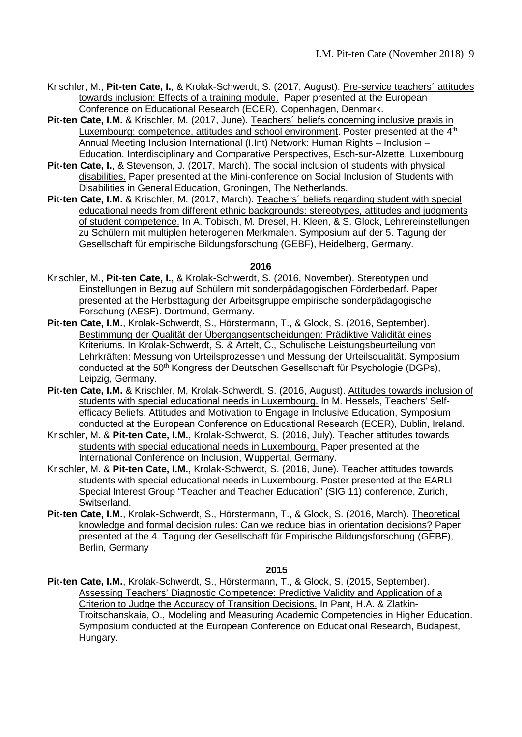- Krischler, M., **Pit-ten Cate, I.**, & Krolak-Schwerdt, S. (2017, August). Pre-service teachers´ attitudes towards inclusion: Effects of a training module. Paper presented at the European Conference on Educational Research (ECER), Copenhagen, Denmark.
- **Pit-ten Cate, I.M.** & Krischler, M. (2017, June). Teachers´ beliefs concerning inclusive praxis in Luxembourg: competence, attitudes and school environment. Poster presented at the 4<sup>th</sup> Annual Meeting Inclusion International (I.Int) Network: Human Rights – Inclusion – Education. Interdisciplinary and Comparative Perspectives, Esch-sur-Alzette, Luxembourg
- **Pit-ten Cate, I.**, & Stevenson, J. (2017, March). The social inclusion of students with physical disabilities. Paper presented at the Mini-conference on Social Inclusion of Students with Disabilities in General Education, Groningen, The Netherlands.
- **Pit-ten Cate, I.M.** & Krischler, M. (2017, March). Teachers' beliefs regarding student with special educational needs from different ethnic backgrounds: stereotypes, attitudes and judgments of student competence. In A. Tobisch, M. Dresel, H. Kleen, & S. Glock, Lehrereinstellungen zu Schülern mit multiplen heterogenen Merkmalen. Symposium auf der 5. Tagung der Gesellschaft für empirische Bildungsforschung (GEBF), Heidelberg, Germany.

#### **2016**

- Krischler, M., **Pit-ten Cate, I.**, & Krolak-Schwerdt, S. (2016, November). Stereotypen und Einstellungen in Bezug auf Schülern mit sonderpädagogischen Förderbedarf. Paper presented at the Herbsttagung der Arbeitsgruppe empirische sonderpädagogische Forschung (AESF). Dortmund, Germany.
- **Pit-ten Cate, I.M.**, Krolak-Schwerdt, S., Hörstermann, T., & Glock, S. (2016, September). Bestimmung der Qualität der Übergangsentscheidungen: Prädiktive Validität eines Kriteriums. In Krolak-Schwerdt, S. & Artelt, C., Schulische Leistungsbeurteilung von Lehrkräften: Messung von Urteilsprozessen und Messung der Urteilsqualität. Symposium conducted at the 50<sup>th</sup> Kongress der Deutschen Gesellschaft für Psychologie (DGPs), Leipzig, Germany.
- **Pit-ten Cate, I.M.** & Krischler, M, Krolak-Schwerdt, S. (2016, August). Attitudes towards inclusion of students with special educational needs in Luxembourg. In M. Hessels, [Teachers' Self](https://www.conftool.com/ecer2016/index.php?page=browseSessions&form_session=1642)[efficacy Beliefs, Attitudes and Motivation to Engage in Inclusive Education, S](https://www.conftool.com/ecer2016/index.php?page=browseSessions&form_session=1642)ymposium conducted at the European Conference on Educational Research (ECER), Dublin, Ireland.
- Krischler, M. & **Pit-ten Cate, I.M.**, Krolak-Schwerdt, S. (2016, July). Teacher attitudes towards students with special educational needs in Luxembourg. Paper presented at the International Conference on Inclusion, Wuppertal, Germany.
- Krischler, M. & **Pit-ten Cate, I.M.**, Krolak-Schwerdt, S. (2016, June). Teacher attitudes towards students with special educational needs in Luxembourg. Poster presented at the EARLI Special Interest Group "Teacher and Teacher Education" (SIG 11) conference, Zurich, Switserland.
- **Pit-ten Cate, I.M.**, Krolak-Schwerdt, S., Hörstermann, T., & Glock, S. (2016, March). Theoretical knowledge and formal decision rules: Can we reduce bias in orientation decisions? Paper presented at the 4. Tagung der Gesellschaft für Empirische Bildungsforschung (GEBF), Berlin, Germany

**2015**

**Pit-ten Cate, I.M.**, Krolak-Schwerdt, S., Hörstermann, T., & Glock, S. (2015, September). Assessing Teachers' Diagnostic Competence: Predictive Validity and Application of a Criterion to Judge the Accuracy of Transition Decisions. In Pant, H.A. & Zlatkin-Troitschanskaia, O., Modeling and Measuring Academic Competencies in Higher Education. Symposium conducted at the European Conference on Educational Research, Budapest, Hungary.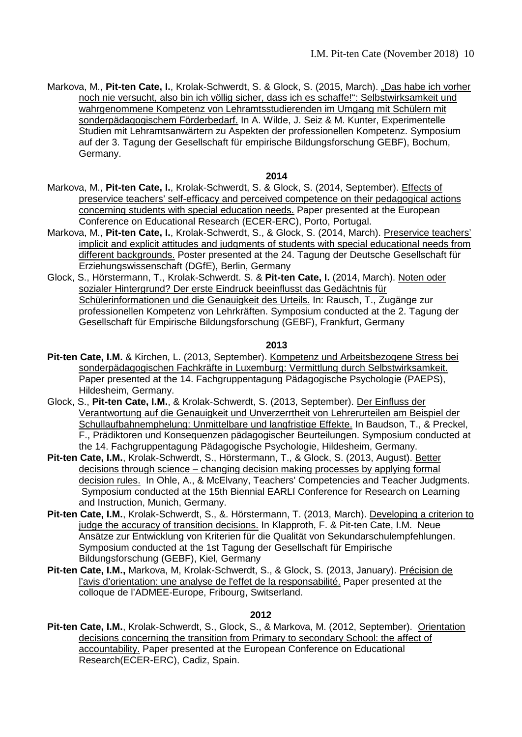Markova, M., Pit-ten Cate, I., Krolak-Schwerdt, S. & Glock, S. (2015, March). "Das habe ich vorher noch nie versucht*,* also bin ich völlig sicher, dass ich es schaffe!": Selbstwirksamkeit und wahrgenommene Kompetenz von Lehramtsstudierenden im Umgang mit Schülern mit sonderpädagogischem Förderbedarf. In A. Wilde, J. Seiz & M. Kunter, Experimentelle Studien mit Lehramtsanwärtern zu Aspekten der professionellen Kompetenz. Symposium auf der 3. Tagung der Gesellschaft für empirische Bildungsforschung GEBF), Bochum, Germany.

#### **2014**

- Markova, M., **Pit-ten Cate, I.**, Krolak-Schwerdt, S. & Glock, S. (2014, September). Effects of preservice teachers' self-efficacy and perceived competence on their pedagogical actions concerning students with special education needs. Paper presented at the European Conference on Educational Research (ECER-ERC), Porto, Portugal.
- Markova, M., **Pit-ten Cate, I.**, Krolak-Schwerdt, S., & Glock, S. (2014, March). Preservice teachers' implicit and explicit attitudes and judgments of students with special educational needs from different backgrounds. Poster presented at the 24. Tagung der Deutsche Gesellschaft für Erziehungswissenschaft (DGfE), Berlin, Germany
- Glock, S., Hörstermann, T., Krolak-Schwerdt. S. & **Pit-ten Cate, I.** (2014, March). Noten oder sozialer Hintergrund? Der erste Eindruck beeinflusst das Gedächtnis für Schülerinformationen und die Genauigkeit des Urteils. In: Rausch, T., Zugänge zur professionellen Kompetenz von Lehrkräften. Symposium conducted at the 2. Tagung der Gesellschaft für Empirische Bildungsforschung (GEBF), Frankfurt, Germany

#### **2013**

- Pit-ten Cate, I.M. & Kirchen, L. (2013, September). Kompetenz und Arbeitsbezogene Stress bei sonderpädagogischen Fachkräfte in Luxemburg: Vermittlung durch Selbstwirksamkeit. Paper presented at the 14. Fachgruppentagung Pädagogische Psychologie (PAEPS), Hildesheim, Germany.
- Glock, S., **Pit-ten Cate, I.M.**, & Krolak-Schwerdt, S. (2013, September). Der Einfluss der Verantwortung auf die Genauigkeit und Unverzerrtheit von Lehrerurteilen am Beispiel der Schullaufbahnemphelung: Unmittelbare und langfristige Effekte. In Baudson, T., & Preckel, F., Prädiktoren und Konsequenzen pädagogischer Beurteilungen. Symposium conducted at the 14. Fachgruppentagung Pädagogische Psychologie, Hildesheim, Germany.
- **Pit-ten Cate, I.M.**, Krolak-Schwerdt, S., Hörstermann, T., & Glock, S. (2013, August). Better decisions through science – changing decision making processes by applying formal decision rules. In Ohle, A., & McElvany, Teachers' Competencies and Teacher Judgments. Symposium conducted at the 15th Biennial EARLI Conference for Research on Learning and Instruction, Munich, Germany.
- Pit-ten Cate, I.M., Krolak-Schwerdt, S., &. Hörstermann, T. (2013, March). Developing a criterion to judge the accuracy of transition decisions. In Klapproth, F. & Pit-ten Cate, I.M. Neue Ansätze zur Entwicklung von Kriterien für die Qualität von Sekundarschulempfehlungen. Symposium conducted at the 1st Tagung der Gesellschaft für Empirische Bildungsforschung (GEBF), Kiel, Germany
- **Pit-ten Cate, I.M.,** Markova, M, Krolak-Schwerdt, S., & Glock, S. (2013, January). Précision de l'avis d'orientation: une analyse de l'effet de la responsabilité. Paper presented at the colloque de l'ADMEE-Europe, Fribourg, Switserland.

#### **2012**

Pit-ten Cate, I.M., Krolak-Schwerdt, S., Glock, S., & Markova, M. (2012, September). Orientation decisions concerning the transition from Primary to secondary School: the affect of accountability. Paper presented at the European Conference on Educational Research(ECER-ERC), Cadiz, Spain.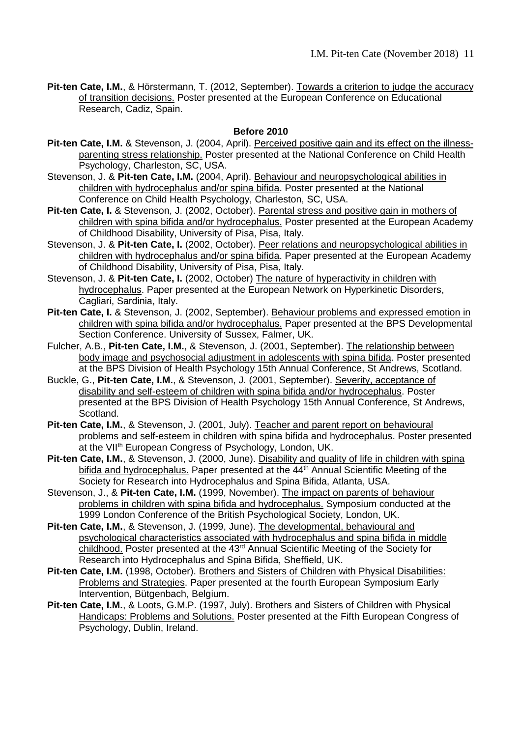**Pit-ten Cate, I.M.**, & Hörstermann, T. (2012, September). Towards a criterion to judge the accuracy of transition decisions. Poster presented at the European Conference on Educational Research, Cadiz, Spain.

#### **Before 2010**

- Pit-ten Cate, I.M. & Stevenson, J. (2004, April). Perceived positive gain and its effect on the illnessparenting stress relationship. Poster presented at the National Conference on Child Health Psychology, Charleston, SC, USA.
- Stevenson, J. & **Pit-ten Cate, I.M.** (2004, April). Behaviour and neuropsychological abilities in children with hydrocephalus and/or spina bifida. Poster presented at the National Conference on Child Health Psychology, Charleston, SC, USA.
- **Pit-ten Cate, I.** & Stevenson, J. (2002, October). Parental stress and positive gain in mothers of children with spina bifida and/or hydrocephalus. Poster presented at the European Academy of Childhood Disability, University of Pisa, Pisa, Italy.
- Stevenson, J. & **Pit-ten Cate, I.** (2002, October). Peer relations and neuropsychological abilities in children with hydrocephalus and/or spina bifida. Paper presented at the European Academy of Childhood Disability, University of Pisa, Pisa, Italy.
- Stevenson, J. & **Pit-ten Cate, I.** (2002, October) The nature of hyperactivity in children with hydrocephalus. Paper presented at the European Network on Hyperkinetic Disorders, Cagliari, Sardinia, Italy.
- **Pit-ten Cate, I.** & Stevenson, J. (2002, September). Behaviour problems and expressed emotion in children with spina bifida and/or hydrocephalus. Paper presented at the BPS Developmental Section Conference. University of Sussex, Falmer, UK.
- Fulcher, A.B., **Pit-ten Cate, I.M.**, & Stevenson, J. (2001, September). The relationship between body image and psychosocial adjustment in adolescents with spina bifida. Poster presented at the BPS Division of Health Psychology 15th Annual Conference, St Andrews, Scotland.
- Buckle, G., **Pit-ten Cate, I.M.**, & Stevenson, J. (2001, September). Severity, acceptance of disability and self-esteem of children with spina bifida and/or hydrocephalus. Poster presented at the BPS Division of Health Psychology 15th Annual Conference, St Andrews, Scotland.
- Pit-ten Cate, I.M., & Stevenson, J. (2001, July). Teacher and parent report on behavioural problems and self-esteem in children with spina bifida and hydrocephalus. Poster presented at the VII<sup>th</sup> European Congress of Psychology, London, UK.
- **Pit-ten Cate, I.M.**, & Stevenson, J. (2000, June). Disability and quality of life in children with spina bifida and hydrocephalus. Paper presented at the 44<sup>th</sup> Annual Scientific Meeting of the Society for Research into Hydrocephalus and Spina Bifida, Atlanta, USA.
- Stevenson, J., & **Pit-ten Cate, I.M.** (1999, November). The impact on parents of behaviour problems in children with spina bifida and hydrocephalus. Symposium conducted at the 1999 London Conference of the British Psychological Society, London, UK.
- **Pit-ten Cate, I.M.**, & Stevenson, J. (1999, June). The developmental, behavioural and psychological characteristics associated with hydrocephalus and spina bifida in middle childhood. Poster presented at the 43<sup>rd</sup> Annual Scientific Meeting of the Society for Research into Hydrocephalus and Spina Bifida, Sheffield, UK.
- **Pit-ten Cate, I.M.** (1998, October). Brothers and Sisters of Children with Physical Disabilities: Problems and Strategies. Paper presented at the fourth European Symposium Early Intervention, Bütgenbach, Belgium.
- **Pit-ten Cate, I.M.**, & Loots, G.M.P. (1997, July). Brothers and Sisters of Children with Physical Handicaps: Problems and Solutions. Poster presented at the Fifth European Congress of Psychology, Dublin, Ireland.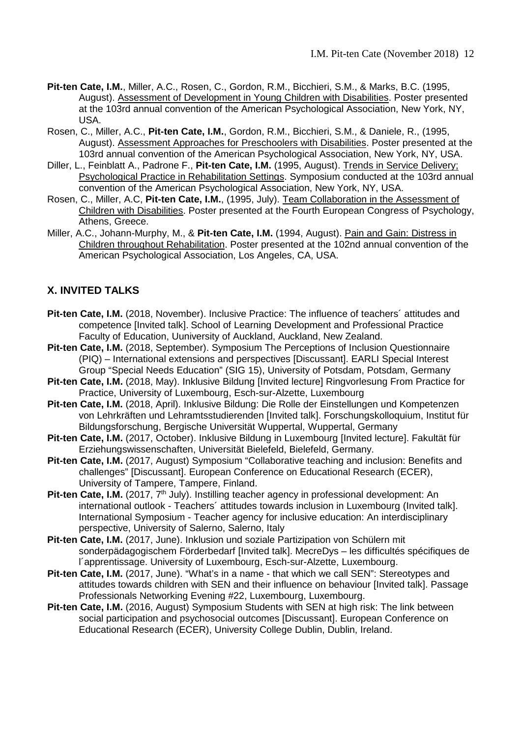- **Pit-ten Cate, I.M.**, Miller, A.C., Rosen, C., Gordon, R.M., Bicchieri, S.M., & Marks, B.C. (1995, August). Assessment of Development in Young Children with Disabilities. Poster presented at the 103rd annual convention of the American Psychological Association, New York, NY, USA.
- Rosen, C., Miller, A.C., **Pit-ten Cate, I.M.**, Gordon, R.M., Bicchieri, S.M., & Daniele, R., (1995, August). Assessment Approaches for Preschoolers with Disabilities. Poster presented at the 103rd annual convention of the American Psychological Association, New York, NY, USA.
- Diller, L., Feinblatt A., Padrone F., **Pit-ten Cate, I.M.** (1995, August). Trends in Service Delivery; Psychological Practice in Rehabilitation Settings. Symposium conducted at the 103rd annual convention of the American Psychological Association, New York, NY, USA.
- Rosen, C., Miller, A.C, **Pit-ten Cate, I.M.**, (1995, July). Team Collaboration in the Assessment of Children with Disabilities. Poster presented at the Fourth European Congress of Psychology, Athens, Greece.
- Miller, A.C., Johann-Murphy, M., & **Pit-ten Cate, I.M.** (1994, August). Pain and Gain: Distress in Children throughout Rehabilitation. Poster presented at the 102nd annual convention of the American Psychological Association, Los Angeles, CA, USA.

# **X. INVITED TALKS**

- **Pit-ten Cate, I.M.** (2018, November). Inclusive Practice: The influence of teachers' attitudes and competence [Invited talk]. School of Learning Development and Professional Practice Faculty of Education, Uuniversity of Auckland, Auckland, New Zealand.
- **Pit-ten Cate, I.M.** (2018, September). Symposium The Perceptions of Inclusion Questionnaire (PIQ) – International extensions and perspectives [Discussant]. EARLI Special Interest Group "Special Needs Education" (SIG 15), University of Potsdam, Potsdam, Germany
- **Pit-ten Cate, I.M.** (2018, May). Inklusive Bildung [Invited lecture] Ringvorlesung From Practice for Practice, University of Luxembourg, Esch-sur-Alzette, Luxembourg
- **Pit-ten Cate, I.M.** (2018, April). Inklusive Bildung: Die Rolle der Einstellungen und Kompetenzen von Lehrkräften und Lehramtsstudierenden [Invited talk]. Forschungskolloquium, Institut für Bildungsforschung, Bergische Universität Wuppertal, Wuppertal, Germany
- **Pit-ten Cate, I.M.** (2017, October). Inklusive Bildung in Luxembourg [Invited lecture]. Fakultät für Erziehungswissenschaften, Universität Bielefeld, Bielefeld, Germany.
- **Pit-ten Cate, I.M.** (2017, August) Symposium "Collaborative teaching and inclusion: Benefits and challenges" [Discussant]. European Conference on Educational Research (ECER), University of Tampere, Tampere, Finland.
- **Pit-ten Cate, I.M.** (2017, 7<sup>th</sup> July). Instilling teacher agency in professional development: An international outlook - Teachers´ attitudes towards inclusion in Luxembourg (Invited talk]. International Symposium - Teacher agency for inclusive education: An interdisciplinary perspective, University of Salerno, Salerno, Italy
- **Pit-ten Cate, I.M.** (2017, June). Inklusion und soziale Partizipation von Schülern mit sonderpädagogischem Förderbedarf [Invited talk]. MecreDys – les difficultés spécifiques de l´apprentissage. University of Luxembourg, Esch-sur-Alzette, Luxembourg.
- **Pit-ten Cate, I.M.** (2017, June). "What's in a name that which we call SEN": Stereotypes and attitudes towards children with SEN and their influence on behaviour [Invited talk]. Passage Professionals Networking Evening #22, Luxembourg, Luxembourg.
- **Pit-ten Cate, I.M.** (2016, August) Symposium Students with SEN at high risk: The link between social participation and psychosocial outcomes [Discussant]. European Conference on Educational Research (ECER), University College Dublin, Dublin, Ireland.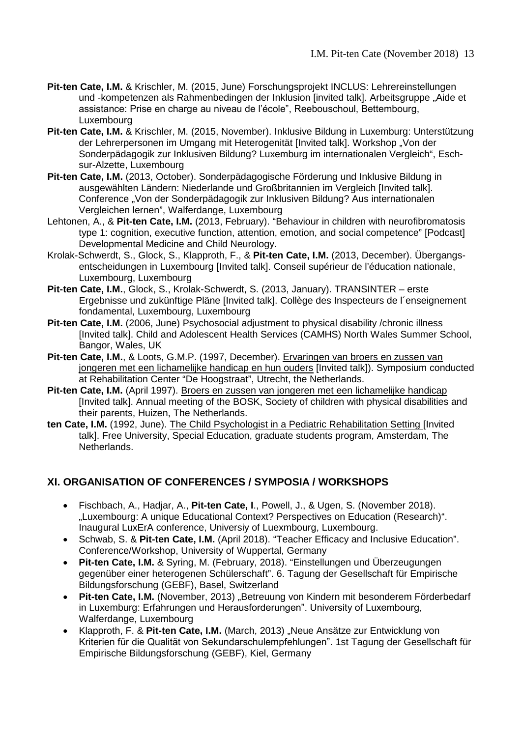- **Pit-ten Cate, I.M.** & Krischler, M. (2015, June) Forschungsprojekt INCLUS: Lehrereinstellungen und -kompetenzen als Rahmenbedingen der Inklusion [invited talk]. Arbeitsgruppe "Aide et assistance: Prise en charge au niveau de l'école", Reebouschoul, Bettembourg, Luxembourg
- **Pit-ten Cate, I.M.** & Krischler, M. (2015, November). Inklusive Bildung in Luxemburg: Unterstützung der Lehrerpersonen im Umgang mit Heterogenität [Invited talk]. Workshop "Von der Sonderpädagogik zur Inklusiven Bildung? Luxemburg im internationalen Vergleich", Eschsur-Alzette, Luxembourg
- **Pit-ten Cate, I.M.** (2013, October). Sonderpädagogische Förderung und Inklusive Bildung in ausgewählten Ländern: Niederlande und Großbritannien im Vergleich [Invited talk]. Conference "Von der Sonderpädagogik zur Inklusiven Bildung? Aus internationalen Vergleichen lernen", Walferdange, Luxembourg
- Lehtonen, A., & **Pit-ten Cate, I.M.** (2013, February). "Behaviour in children with neurofibromatosis type 1: cognition, executive function, attention, emotion, and social competence" [Podcast] Developmental Medicine and Child Neurology.
- Krolak-Schwerdt, S., Glock, S., Klapproth, F., & **Pit-ten Cate, I.M.** (2013, December). Übergangsentscheidungen in Luxembourg [Invited talk]. Conseil supérieur de l'éducation nationale, Luxembourg, Luxembourg
- **Pit-ten Cate, I.M.**, Glock, S., Krolak-Schwerdt, S. (2013, January). TRANSINTER erste Ergebnisse und zukünftige Pläne [Invited talk]. Collège des Inspecteurs de l´enseignement fondamental, Luxembourg, Luxembourg
- Pit-ten Cate, I.M. (2006, June) Psychosocial adjustment to physical disability /chronic illness [Invited talk]. Child and Adolescent Health Services (CAMHS) North Wales Summer School, Bangor, Wales, UK
- Pit-ten Cate, I.M., & Loots, G.M.P. (1997, December). Ervaringen van broers en zussen van jongeren met een lichamelijke handicap en hun ouders [Invited talk]). Symposium conducted at Rehabilitation Center "De Hoogstraat", Utrecht, the Netherlands.
- **Pit-ten Cate, I.M.** (April 1997). Broers en zussen van jongeren met een lichamelijke handicap [Invited talk]. Annual meeting of the BOSK, Society of children with physical disabilities and their parents, Huizen, The Netherlands.
- **ten Cate, I.M.** (1992, June). The Child Psychologist in a Pediatric Rehabilitation Setting [Invited talk]. Free University, Special Education, graduate students program, Amsterdam, The Netherlands.

## **XI. ORGANISATION OF CONFERENCES / SYMPOSIA / WORKSHOPS**

- Fischbach, A., Hadjar, A., **Pit-ten Cate, I**., Powell, J., & Ugen, S. (November 2018). "Luxembourg: A unique Educational Context? Perspectives on Education (Research)". Inaugural LuxErA conference, Universiy of Luexmbourg, Luxembourg.
- Schwab, S. & **Pit-ten Cate, I.M.** (April 2018). "Teacher Efficacy and Inclusive Education". Conference/Workshop, University of Wuppertal, Germany
- **Pit-ten Cate, I.M.** & Syring, M. (February, 2018). "Einstellungen und Überzeugungen gegenüber einer heterogenen Schülerschaft". 6. Tagung der Gesellschaft für Empirische Bildungsforschung (GEBF), Basel, Switzerland
- **Pit-ten Cate, I.M.** (November, 2013) "Betreuung von Kindern mit besonderem Förderbedarf in Luxemburg: Erfahrungen und Herausforderungen". University of Luxembourg, Walferdange, Luxembourg
- Klapproth, F. & **Pit-ten Cate, I.M.** (March, 2013) "Neue Ansätze zur Entwicklung von Kriterien für die Qualität von Sekundarschulempfehlungenˮ. 1st Tagung der Gesellschaft für Empirische Bildungsforschung (GEBF), Kiel, Germany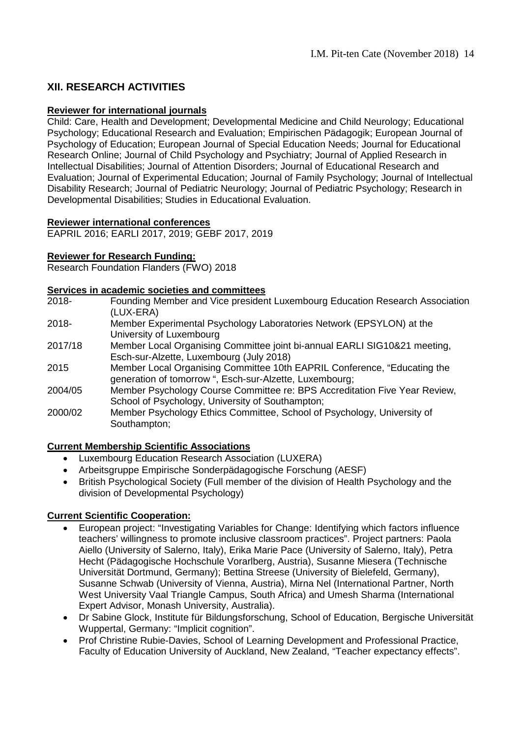# **XII. RESEARCH ACTIVITIES**

#### **Reviewer for international journals**

Child: Care, Health and Development; Developmental Medicine and Child Neurology; Educational Psychology; Educational Research and Evaluation; Empirischen Pädagogik; European Journal of Psychology of Education; European Journal of Special Education Needs; Journal for Educational Research Online; Journal of Child Psychology and Psychiatry; Journal of Applied Research in Intellectual Disabilities; Journal of Attention Disorders; Journal of Educational Research and Evaluation; Journal of Experimental Education; Journal of Family Psychology; Journal of Intellectual Disability Research; Journal of Pediatric Neurology; Journal of Pediatric Psychology; Research in Developmental Disabilities; Studies in Educational Evaluation.

#### **Reviewer international conferences**

EAPRIL 2016; EARLI 2017, 2019; GEBF 2017, 2019

#### **Reviewer for Research Funding:**

Research Foundation Flanders (FWO) 2018

# **Services in academic societies and committees**<br>2018- Founding Member and Vice presiden

- Founding Member and Vice president Luxembourg Education Research Association (LUX-ERA)
- 2018- Member Experimental Psychology Laboratories Network (EPSYLON) at the University of Luxembourg
- 2017/18 Member Local Organising Committee joint bi-annual EARLI SIG10&21 meeting, Esch-sur-Alzette, Luxembourg (July 2018)
- 2015 Member Local Organising Committee 10th EAPRIL Conference, "Educating the generation of tomorrow ", Esch-sur-Alzette, Luxembourg;
- 2004/05 Member Psychology Course Committee re: BPS Accreditation Five Year Review, School of Psychology, University of Southampton;
- 2000/02 Member Psychology Ethics Committee, School of Psychology, University of Southampton;

#### **Current Membership Scientific Associations**

- Luxembourg Education Research Association (LUXERA)
- Arbeitsgruppe Empirische Sonderpädagogische Forschung (AESF)
- British Psychological Society (Full member of the division of Health Psychology and the division of Developmental Psychology)

#### **Current Scientific Cooperation:**

- European project: "Investigating Variables for Change: Identifying which factors influence teachers' willingness to promote inclusive classroom practices". Project partners: Paola Aiello (University of Salerno, Italy), Erika Marie Pace (University of Salerno, Italy), Petra Hecht (Pädagogische Hochschule Vorarlberg, Austria), Susanne Miesera (Technische Universität Dortmund, Germany); Bettina Streese (University of Bielefeld, Germany), Susanne Schwab (University of Vienna, Austria), Mirna Nel (International Partner, North West University Vaal Triangle Campus, South Africa) and Umesh Sharma (International Expert Advisor, Monash University, Australia).
- Dr Sabine Glock, Institute für Bildungsforschung, School of Education, Bergische Universität Wuppertal, Germany: "Implicit cognition".
- Prof Christine Rubie-Davies, School of Learning Development and Professional Practice, Faculty of Education University of Auckland, New Zealand, "Teacher expectancy effects".